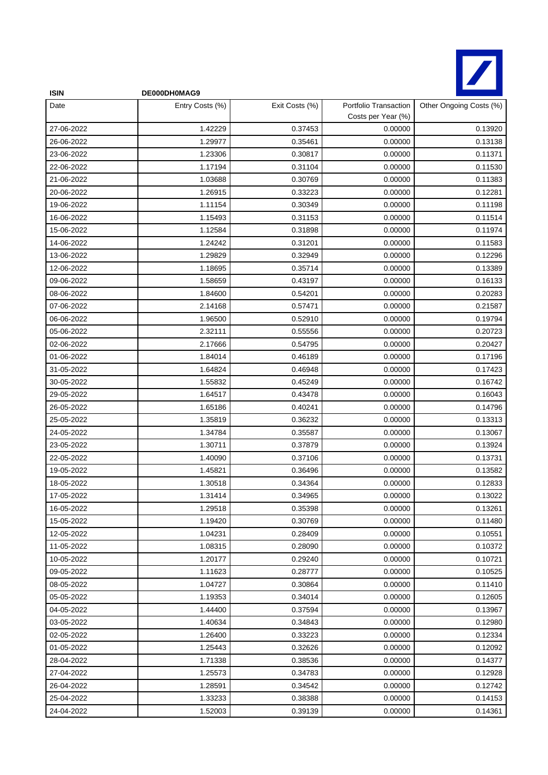

| <b>ISIN</b> | DE000DH0MAG9    |                |                                             |                         |
|-------------|-----------------|----------------|---------------------------------------------|-------------------------|
| Date        | Entry Costs (%) | Exit Costs (%) | Portfolio Transaction<br>Costs per Year (%) | Other Ongoing Costs (%) |
| 27-06-2022  | 1.42229         | 0.37453        | 0.00000                                     | 0.13920                 |
| 26-06-2022  | 1.29977         | 0.35461        | 0.00000                                     | 0.13138                 |
| 23-06-2022  | 1.23306         | 0.30817        | 0.00000                                     | 0.11371                 |
| 22-06-2022  | 1.17194         | 0.31104        | 0.00000                                     | 0.11530                 |
| 21-06-2022  | 1.03688         | 0.30769        | 0.00000                                     | 0.11383                 |
| 20-06-2022  | 1.26915         | 0.33223        | 0.00000                                     | 0.12281                 |
| 19-06-2022  | 1.11154         | 0.30349        | 0.00000                                     | 0.11198                 |
| 16-06-2022  | 1.15493         | 0.31153        | 0.00000                                     | 0.11514                 |
| 15-06-2022  | 1.12584         | 0.31898        | 0.00000                                     | 0.11974                 |
| 14-06-2022  | 1.24242         | 0.31201        | 0.00000                                     | 0.11583                 |
| 13-06-2022  | 1.29829         | 0.32949        | 0.00000                                     | 0.12296                 |
| 12-06-2022  | 1.18695         | 0.35714        | 0.00000                                     | 0.13389                 |
| 09-06-2022  | 1.58659         | 0.43197        | 0.00000                                     | 0.16133                 |
| 08-06-2022  | 1.84600         | 0.54201        | 0.00000                                     | 0.20283                 |
| 07-06-2022  | 2.14168         | 0.57471        | 0.00000                                     | 0.21587                 |
| 06-06-2022  | 1.96500         | 0.52910        | 0.00000                                     | 0.19794                 |
| 05-06-2022  | 2.32111         | 0.55556        | 0.00000                                     | 0.20723                 |
| 02-06-2022  | 2.17666         | 0.54795        | 0.00000                                     | 0.20427                 |
| 01-06-2022  | 1.84014         | 0.46189        | 0.00000                                     | 0.17196                 |
| 31-05-2022  | 1.64824         | 0.46948        | 0.00000                                     | 0.17423                 |
| 30-05-2022  | 1.55832         | 0.45249        | 0.00000                                     | 0.16742                 |
| 29-05-2022  | 1.64517         | 0.43478        | 0.00000                                     | 0.16043                 |
| 26-05-2022  | 1.65186         | 0.40241        | 0.00000                                     | 0.14796                 |
| 25-05-2022  | 1.35819         | 0.36232        | 0.00000                                     | 0.13313                 |
| 24-05-2022  | 1.34784         | 0.35587        | 0.00000                                     | 0.13067                 |
| 23-05-2022  | 1.30711         | 0.37879        | 0.00000                                     | 0.13924                 |
| 22-05-2022  | 1.40090         | 0.37106        | 0.00000                                     | 0.13731                 |
| 19-05-2022  | 1.45821         | 0.36496        | 0.00000                                     | 0.13582                 |
| 18-05-2022  | 1.30518         | 0.34364        | 0.00000                                     | 0.12833                 |
| 17-05-2022  | 1.31414         | 0.34965        | 0.00000                                     | 0.13022                 |
| 16-05-2022  | 1.29518         | 0.35398        | 0.00000                                     | 0.13261                 |
| 15-05-2022  | 1.19420         | 0.30769        | 0.00000                                     | 0.11480                 |
| 12-05-2022  | 1.04231         | 0.28409        | 0.00000                                     | 0.10551                 |
| 11-05-2022  | 1.08315         | 0.28090        | 0.00000                                     | 0.10372                 |
| 10-05-2022  | 1.20177         | 0.29240        | 0.00000                                     | 0.10721                 |
| 09-05-2022  | 1.11623         | 0.28777        | 0.00000                                     | 0.10525                 |
| 08-05-2022  | 1.04727         | 0.30864        | 0.00000                                     | 0.11410                 |
| 05-05-2022  | 1.19353         | 0.34014        | 0.00000                                     | 0.12605                 |
| 04-05-2022  | 1.44400         | 0.37594        | 0.00000                                     | 0.13967                 |
| 03-05-2022  | 1.40634         | 0.34843        | 0.00000                                     | 0.12980                 |
| 02-05-2022  | 1.26400         | 0.33223        | 0.00000                                     | 0.12334                 |
| 01-05-2022  | 1.25443         | 0.32626        | 0.00000                                     | 0.12092                 |
| 28-04-2022  | 1.71338         | 0.38536        | 0.00000                                     | 0.14377                 |
| 27-04-2022  | 1.25573         | 0.34783        | 0.00000                                     | 0.12928                 |
| 26-04-2022  | 1.28591         | 0.34542        | 0.00000                                     | 0.12742                 |
| 25-04-2022  | 1.33233         | 0.38388        | 0.00000                                     | 0.14153                 |
| 24-04-2022  | 1.52003         | 0.39139        | 0.00000                                     | 0.14361                 |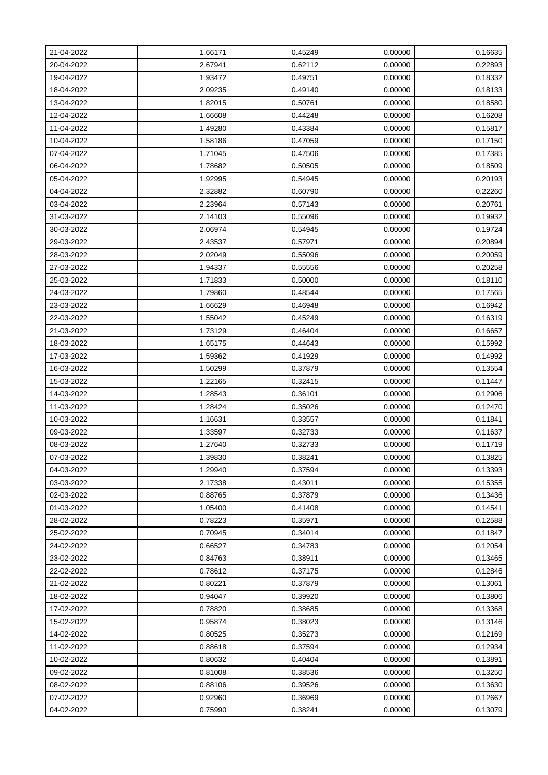| 21-04-2022 | 1.66171 | 0.45249 | 0.00000 | 0.16635 |
|------------|---------|---------|---------|---------|
| 20-04-2022 | 2.67941 | 0.62112 | 0.00000 | 0.22893 |
| 19-04-2022 | 1.93472 | 0.49751 | 0.00000 | 0.18332 |
| 18-04-2022 | 2.09235 | 0.49140 | 0.00000 | 0.18133 |
| 13-04-2022 | 1.82015 | 0.50761 | 0.00000 | 0.18580 |
| 12-04-2022 | 1.66608 | 0.44248 | 0.00000 | 0.16208 |
| 11-04-2022 | 1.49280 | 0.43384 | 0.00000 | 0.15817 |
| 10-04-2022 | 1.58186 | 0.47059 | 0.00000 | 0.17150 |
| 07-04-2022 | 1.71045 | 0.47506 | 0.00000 | 0.17385 |
| 06-04-2022 | 1.78682 | 0.50505 | 0.00000 | 0.18509 |
| 05-04-2022 | 1.92995 | 0.54945 | 0.00000 | 0.20193 |
| 04-04-2022 | 2.32882 | 0.60790 | 0.00000 | 0.22260 |
| 03-04-2022 | 2.23964 | 0.57143 | 0.00000 | 0.20761 |
| 31-03-2022 | 2.14103 | 0.55096 | 0.00000 | 0.19932 |
| 30-03-2022 | 2.06974 | 0.54945 | 0.00000 | 0.19724 |
| 29-03-2022 | 2.43537 | 0.57971 | 0.00000 | 0.20894 |
| 28-03-2022 | 2.02049 | 0.55096 | 0.00000 | 0.20059 |
| 27-03-2022 | 1.94337 | 0.55556 | 0.00000 | 0.20258 |
| 25-03-2022 | 1.71833 | 0.50000 | 0.00000 | 0.18110 |
| 24-03-2022 | 1.79860 | 0.48544 | 0.00000 | 0.17565 |
| 23-03-2022 | 1.66629 | 0.46948 | 0.00000 | 0.16942 |
| 22-03-2022 | 1.55042 | 0.45249 | 0.00000 | 0.16319 |
| 21-03-2022 | 1.73129 | 0.46404 | 0.00000 | 0.16657 |
| 18-03-2022 | 1.65175 | 0.44643 | 0.00000 | 0.15992 |
| 17-03-2022 | 1.59362 | 0.41929 | 0.00000 | 0.14992 |
| 16-03-2022 | 1.50299 | 0.37879 | 0.00000 | 0.13554 |
| 15-03-2022 | 1.22165 | 0.32415 | 0.00000 | 0.11447 |
| 14-03-2022 | 1.28543 | 0.36101 | 0.00000 | 0.12906 |
| 11-03-2022 | 1.28424 | 0.35026 | 0.00000 | 0.12470 |
| 10-03-2022 | 1.16631 | 0.33557 | 0.00000 | 0.11841 |
| 09-03-2022 | 1.33597 | 0.32733 | 0.00000 | 0.11637 |
| 08-03-2022 | 1.27640 | 0.32733 | 0.00000 | 0.11719 |
| 07-03-2022 | 1.39830 | 0.38241 | 0.00000 | 0.13825 |
| 04-03-2022 | 1.29940 | 0.37594 | 0.00000 | 0.13393 |
| 03-03-2022 | 2.17338 | 0.43011 | 0.00000 | 0.15355 |
| 02-03-2022 | 0.88765 | 0.37879 | 0.00000 | 0.13436 |
| 01-03-2022 | 1.05400 | 0.41408 | 0.00000 | 0.14541 |
| 28-02-2022 | 0.78223 | 0.35971 | 0.00000 | 0.12588 |
| 25-02-2022 | 0.70945 | 0.34014 | 0.00000 | 0.11847 |
| 24-02-2022 | 0.66527 | 0.34783 | 0.00000 | 0.12054 |
| 23-02-2022 | 0.84763 | 0.38911 | 0.00000 | 0.13465 |
| 22-02-2022 | 0.78612 | 0.37175 | 0.00000 | 0.12846 |
| 21-02-2022 | 0.80221 | 0.37879 | 0.00000 | 0.13061 |
| 18-02-2022 | 0.94047 | 0.39920 | 0.00000 | 0.13806 |
| 17-02-2022 | 0.78820 | 0.38685 | 0.00000 | 0.13368 |
| 15-02-2022 | 0.95874 | 0.38023 | 0.00000 | 0.13146 |
| 14-02-2022 | 0.80525 | 0.35273 | 0.00000 | 0.12169 |
| 11-02-2022 | 0.88618 | 0.37594 | 0.00000 | 0.12934 |
| 10-02-2022 | 0.80632 | 0.40404 | 0.00000 | 0.13891 |
| 09-02-2022 | 0.81008 | 0.38536 | 0.00000 | 0.13250 |
| 08-02-2022 | 0.88106 | 0.39526 | 0.00000 | 0.13630 |
| 07-02-2022 | 0.92960 | 0.36969 | 0.00000 | 0.12667 |
| 04-02-2022 | 0.75990 | 0.38241 | 0.00000 | 0.13079 |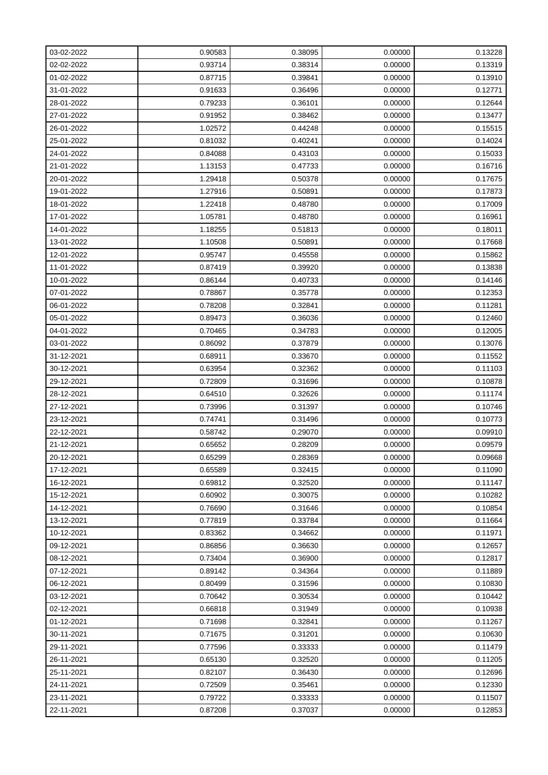| 03-02-2022 | 0.90583 | 0.38095 | 0.00000 | 0.13228 |
|------------|---------|---------|---------|---------|
| 02-02-2022 | 0.93714 | 0.38314 | 0.00000 | 0.13319 |
| 01-02-2022 | 0.87715 | 0.39841 | 0.00000 | 0.13910 |
| 31-01-2022 | 0.91633 | 0.36496 | 0.00000 | 0.12771 |
| 28-01-2022 | 0.79233 | 0.36101 | 0.00000 | 0.12644 |
| 27-01-2022 | 0.91952 | 0.38462 | 0.00000 | 0.13477 |
| 26-01-2022 | 1.02572 | 0.44248 | 0.00000 | 0.15515 |
| 25-01-2022 | 0.81032 | 0.40241 | 0.00000 | 0.14024 |
| 24-01-2022 | 0.84088 | 0.43103 | 0.00000 | 0.15033 |
| 21-01-2022 | 1.13153 | 0.47733 | 0.00000 | 0.16716 |
| 20-01-2022 | 1.29418 | 0.50378 | 0.00000 | 0.17675 |
| 19-01-2022 | 1.27916 | 0.50891 | 0.00000 | 0.17873 |
| 18-01-2022 | 1.22418 | 0.48780 | 0.00000 | 0.17009 |
| 17-01-2022 | 1.05781 | 0.48780 | 0.00000 | 0.16961 |
| 14-01-2022 | 1.18255 | 0.51813 | 0.00000 | 0.18011 |
| 13-01-2022 | 1.10508 | 0.50891 | 0.00000 | 0.17668 |
| 12-01-2022 | 0.95747 | 0.45558 | 0.00000 | 0.15862 |
| 11-01-2022 | 0.87419 | 0.39920 | 0.00000 | 0.13838 |
| 10-01-2022 | 0.86144 | 0.40733 | 0.00000 | 0.14146 |
| 07-01-2022 | 0.78867 | 0.35778 | 0.00000 | 0.12353 |
| 06-01-2022 | 0.78208 | 0.32841 | 0.00000 | 0.11281 |
| 05-01-2022 | 0.89473 | 0.36036 | 0.00000 | 0.12460 |
| 04-01-2022 | 0.70465 | 0.34783 | 0.00000 | 0.12005 |
| 03-01-2022 | 0.86092 | 0.37879 | 0.00000 | 0.13076 |
| 31-12-2021 | 0.68911 | 0.33670 | 0.00000 | 0.11552 |
| 30-12-2021 | 0.63954 | 0.32362 | 0.00000 | 0.11103 |
| 29-12-2021 | 0.72809 | 0.31696 | 0.00000 | 0.10878 |
| 28-12-2021 | 0.64510 | 0.32626 | 0.00000 | 0.11174 |
| 27-12-2021 | 0.73996 | 0.31397 | 0.00000 | 0.10746 |
| 23-12-2021 | 0.74741 | 0.31496 | 0.00000 | 0.10773 |
| 22-12-2021 | 0.58742 | 0.29070 | 0.00000 | 0.09910 |
| 21-12-2021 | 0.65652 | 0.28209 | 0.00000 | 0.09579 |
| 20-12-2021 | 0.65299 | 0.28369 | 0.00000 | 0.09668 |
| 17-12-2021 | 0.65589 | 0.32415 | 0.00000 | 0.11090 |
| 16-12-2021 | 0.69812 | 0.32520 | 0.00000 | 0.11147 |
| 15-12-2021 | 0.60902 | 0.30075 | 0.00000 | 0.10282 |
| 14-12-2021 | 0.76690 | 0.31646 | 0.00000 | 0.10854 |
| 13-12-2021 | 0.77819 | 0.33784 | 0.00000 | 0.11664 |
| 10-12-2021 | 0.83362 | 0.34662 | 0.00000 | 0.11971 |
| 09-12-2021 | 0.86856 | 0.36630 | 0.00000 | 0.12657 |
| 08-12-2021 | 0.73404 | 0.36900 | 0.00000 | 0.12817 |
| 07-12-2021 | 0.89142 | 0.34364 | 0.00000 | 0.11889 |
| 06-12-2021 | 0.80499 | 0.31596 | 0.00000 | 0.10830 |
| 03-12-2021 | 0.70642 | 0.30534 | 0.00000 | 0.10442 |
| 02-12-2021 | 0.66818 | 0.31949 | 0.00000 | 0.10938 |
| 01-12-2021 | 0.71698 | 0.32841 | 0.00000 | 0.11267 |
| 30-11-2021 | 0.71675 | 0.31201 | 0.00000 | 0.10630 |
| 29-11-2021 | 0.77596 | 0.33333 | 0.00000 | 0.11479 |
| 26-11-2021 | 0.65130 | 0.32520 | 0.00000 | 0.11205 |
| 25-11-2021 | 0.82107 | 0.36430 | 0.00000 | 0.12696 |
| 24-11-2021 | 0.72509 | 0.35461 | 0.00000 | 0.12330 |
| 23-11-2021 | 0.79722 | 0.33333 | 0.00000 | 0.11507 |
| 22-11-2021 | 0.87208 | 0.37037 | 0.00000 | 0.12853 |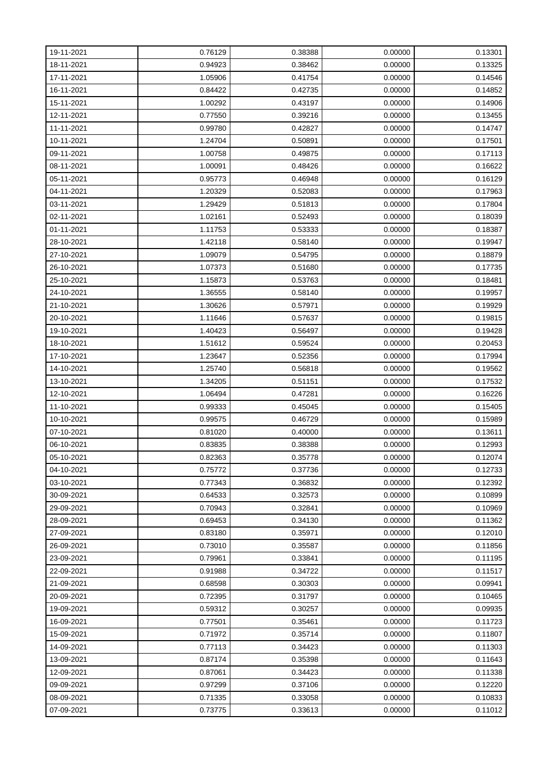| 19-11-2021 | 0.76129 | 0.38388 | 0.00000 | 0.13301 |
|------------|---------|---------|---------|---------|
| 18-11-2021 | 0.94923 | 0.38462 | 0.00000 | 0.13325 |
| 17-11-2021 | 1.05906 | 0.41754 | 0.00000 | 0.14546 |
| 16-11-2021 | 0.84422 | 0.42735 | 0.00000 | 0.14852 |
| 15-11-2021 | 1.00292 | 0.43197 | 0.00000 | 0.14906 |
| 12-11-2021 | 0.77550 | 0.39216 | 0.00000 | 0.13455 |
| 11-11-2021 | 0.99780 | 0.42827 | 0.00000 | 0.14747 |
| 10-11-2021 | 1.24704 | 0.50891 | 0.00000 | 0.17501 |
| 09-11-2021 | 1.00758 | 0.49875 | 0.00000 | 0.17113 |
| 08-11-2021 | 1.00091 | 0.48426 | 0.00000 | 0.16622 |
| 05-11-2021 | 0.95773 | 0.46948 | 0.00000 | 0.16129 |
| 04-11-2021 | 1.20329 | 0.52083 | 0.00000 | 0.17963 |
| 03-11-2021 | 1.29429 | 0.51813 | 0.00000 | 0.17804 |
| 02-11-2021 | 1.02161 | 0.52493 | 0.00000 | 0.18039 |
| 01-11-2021 | 1.11753 | 0.53333 | 0.00000 | 0.18387 |
| 28-10-2021 | 1.42118 | 0.58140 | 0.00000 | 0.19947 |
| 27-10-2021 | 1.09079 | 0.54795 | 0.00000 | 0.18879 |
| 26-10-2021 | 1.07373 | 0.51680 | 0.00000 | 0.17735 |
| 25-10-2021 | 1.15873 | 0.53763 | 0.00000 | 0.18481 |
| 24-10-2021 | 1.36555 | 0.58140 | 0.00000 | 0.19957 |
| 21-10-2021 | 1.30626 | 0.57971 | 0.00000 | 0.19929 |
| 20-10-2021 | 1.11646 | 0.57637 | 0.00000 | 0.19815 |
| 19-10-2021 | 1.40423 | 0.56497 | 0.00000 | 0.19428 |
| 18-10-2021 | 1.51612 | 0.59524 | 0.00000 | 0.20453 |
| 17-10-2021 | 1.23647 | 0.52356 | 0.00000 | 0.17994 |
| 14-10-2021 | 1.25740 | 0.56818 | 0.00000 | 0.19562 |
| 13-10-2021 | 1.34205 | 0.51151 | 0.00000 | 0.17532 |
| 12-10-2021 | 1.06494 | 0.47281 | 0.00000 | 0.16226 |
| 11-10-2021 | 0.99333 | 0.45045 | 0.00000 | 0.15405 |
| 10-10-2021 | 0.99575 | 0.46729 | 0.00000 | 0.15989 |
| 07-10-2021 | 0.81020 | 0.40000 | 0.00000 | 0.13611 |
| 06-10-2021 | 0.83835 | 0.38388 | 0.00000 | 0.12993 |
| 05-10-2021 | 0.82363 | 0.35778 | 0.00000 | 0.12074 |
| 04-10-2021 | 0.75772 | 0.37736 | 0.00000 | 0.12733 |
| 03-10-2021 | 0.77343 | 0.36832 | 0.00000 | 0.12392 |
| 30-09-2021 | 0.64533 | 0.32573 | 0.00000 | 0.10899 |
| 29-09-2021 | 0.70943 | 0.32841 | 0.00000 | 0.10969 |
| 28-09-2021 | 0.69453 | 0.34130 | 0.00000 | 0.11362 |
| 27-09-2021 | 0.83180 | 0.35971 | 0.00000 | 0.12010 |
| 26-09-2021 | 0.73010 | 0.35587 | 0.00000 | 0.11856 |
| 23-09-2021 | 0.79961 | 0.33841 | 0.00000 | 0.11195 |
| 22-09-2021 | 0.91988 | 0.34722 | 0.00000 | 0.11517 |
| 21-09-2021 | 0.68598 | 0.30303 | 0.00000 | 0.09941 |
| 20-09-2021 | 0.72395 | 0.31797 | 0.00000 | 0.10465 |
| 19-09-2021 | 0.59312 | 0.30257 | 0.00000 | 0.09935 |
| 16-09-2021 | 0.77501 | 0.35461 | 0.00000 | 0.11723 |
| 15-09-2021 | 0.71972 | 0.35714 | 0.00000 | 0.11807 |
| 14-09-2021 | 0.77113 | 0.34423 | 0.00000 | 0.11303 |
| 13-09-2021 | 0.87174 | 0.35398 | 0.00000 | 0.11643 |
| 12-09-2021 | 0.87061 | 0.34423 | 0.00000 | 0.11338 |
| 09-09-2021 | 0.97299 | 0.37106 | 0.00000 | 0.12220 |
| 08-09-2021 | 0.71335 | 0.33058 | 0.00000 | 0.10833 |
| 07-09-2021 | 0.73775 | 0.33613 | 0.00000 | 0.11012 |